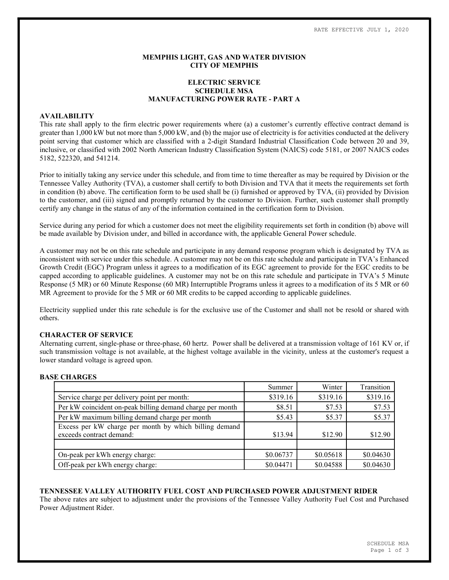# MEMPHIS LIGHT, GAS AND WATER DIVISION CITY OF MEMPHIS

# ELECTRIC SERVICE SCHEDULE MSA MANUFACTURING POWER RATE - PART A

# AVAILABILITY

This rate shall apply to the firm electric power requirements where (a) a customer's currently effective contract demand is greater than 1,000 kW but not more than 5,000 kW, and (b) the major use of electricity is for activities conducted at the delivery point serving that customer which are classified with a 2-digit Standard Industrial Classification Code between 20 and 39, inclusive, or classified with 2002 North American Industry Classification System (NAICS) code 5181, or 2007 NAICS codes 5182, 522320, and 541214.

Prior to initially taking any service under this schedule, and from time to time thereafter as may be required by Division or the Tennessee Valley Authority (TVA), a customer shall certify to both Division and TVA that it meets the requirements set forth in condition (b) above. The certification form to be used shall be (i) furnished or approved by TVA, (ii) provided by Division to the customer, and (iii) signed and promptly returned by the customer to Division. Further, such customer shall promptly certify any change in the status of any of the information contained in the certification form to Division.

Service during any period for which a customer does not meet the eligibility requirements set forth in condition (b) above will be made available by Division under, and billed in accordance with, the applicable General Power schedule.

A customer may not be on this rate schedule and participate in any demand response program which is designated by TVA as inconsistent with service under this schedule. A customer may not be on this rate schedule and participate in TVA's Enhanced Growth Credit (EGC) Program unless it agrees to a modification of its EGC agreement to provide for the EGC credits to be capped according to applicable guidelines. A customer may not be on this rate schedule and participate in TVA's 5 Minute Response (5 MR) or 60 Minute Response (60 MR) Interruptible Programs unless it agrees to a modification of its 5 MR or 60 MR Agreement to provide for the 5 MR or 60 MR credits to be capped according to applicable guidelines.

Electricity supplied under this rate schedule is for the exclusive use of the Customer and shall not be resold or shared with others.

# CHARACTER OF SERVICE

Alternating current, single-phase or three-phase, 60 hertz. Power shall be delivered at a transmission voltage of 161 KV or, if such transmission voltage is not available, at the highest voltage available in the vicinity, unless at the customer's request a lower standard voltage is agreed upon.

## BASE CHARGES

|                                                           | Summer    | Winter    | Transition |
|-----------------------------------------------------------|-----------|-----------|------------|
| Service charge per delivery point per month:              | \$319.16  | \$319.16  | \$319.16   |
| Per kW coincident on-peak billing demand charge per month | \$8.51    | \$7.53    | \$7.53     |
| Per kW maximum billing demand charge per month            | \$5.43    | \$5.37    | \$5.37     |
| Excess per kW charge per month by which billing demand    |           |           |            |
| exceeds contract demand:                                  | \$13.94   | \$12.90   | \$12.90    |
|                                                           |           |           |            |
| On-peak per kWh energy charge:                            | \$0.06737 | \$0.05618 | \$0.04630  |
| Off-peak per kWh energy charge:                           | \$0.04471 | \$0.04588 | \$0.04630  |

### TENNESSEE VALLEY AUTHORITY FUEL COST AND PURCHASED POWER ADJUSTMENT RIDER

The above rates are subject to adjustment under the provisions of the Tennessee Valley Authority Fuel Cost and Purchased Power Adjustment Rider.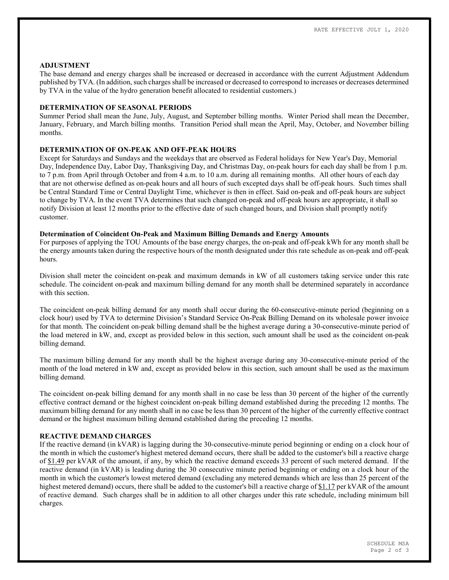#### ADJUSTMENT

The base demand and energy charges shall be increased or decreased in accordance with the current Adjustment Addendum published by TVA. (In addition, such charges shall be increased or decreased to correspond to increases or decreases determined by TVA in the value of the hydro generation benefit allocated to residential customers.)

#### DETERMINATION OF SEASONAL PERIODS

Summer Period shall mean the June, July, August, and September billing months. Winter Period shall mean the December, January, February, and March billing months. Transition Period shall mean the April, May, October, and November billing months.

## DETERMINATION OF ON-PEAK AND OFF-PEAK HOURS

Except for Saturdays and Sundays and the weekdays that are observed as Federal holidays for New Year's Day, Memorial Day, Independence Day, Labor Day, Thanksgiving Day, and Christmas Day, on-peak hours for each day shall be from 1 p.m. to 7 p.m. from April through October and from 4 a.m. to 10 a.m. during all remaining months. All other hours of each day that are not otherwise defined as on-peak hours and all hours of such excepted days shall be off-peak hours. Such times shall be Central Standard Time or Central Daylight Time, whichever is then in effect. Said on-peak and off-peak hours are subject to change by TVA. In the event TVA determines that such changed on-peak and off-peak hours are appropriate, it shall so notify Division at least 12 months prior to the effective date of such changed hours, and Division shall promptly notify customer.

#### Determination of Coincident On-Peak and Maximum Billing Demands and Energy Amounts

For purposes of applying the TOU Amounts of the base energy charges, the on-peak and off-peak kWh for any month shall be the energy amounts taken during the respective hours of the month designated under this rate schedule as on-peak and off-peak hours.

Division shall meter the coincident on-peak and maximum demands in kW of all customers taking service under this rate schedule. The coincident on-peak and maximum billing demand for any month shall be determined separately in accordance with this section

The coincident on-peak billing demand for any month shall occur during the 60-consecutive-minute period (beginning on a clock hour) used by TVA to determine Division's Standard Service On-Peak Billing Demand on its wholesale power invoice for that month. The coincident on-peak billing demand shall be the highest average during a 30-consecutive-minute period of the load metered in kW, and, except as provided below in this section, such amount shall be used as the coincident on-peak billing demand.

The maximum billing demand for any month shall be the highest average during any 30-consecutive-minute period of the month of the load metered in kW and, except as provided below in this section, such amount shall be used as the maximum billing demand.

The coincident on-peak billing demand for any month shall in no case be less than 30 percent of the higher of the currently effective contract demand or the highest coincident on-peak billing demand established during the preceding 12 months. The maximum billing demand for any month shall in no case be less than 30 percent of the higher of the currently effective contract demand or the highest maximum billing demand established during the preceding 12 months.

# REACTIVE DEMAND CHARGES

If the reactive demand (in kVAR) is lagging during the 30-consecutive-minute period beginning or ending on a clock hour of the month in which the customer's highest metered demand occurs, there shall be added to the customer's bill a reactive charge of \$1.49 per kVAR of the amount, if any, by which the reactive demand exceeds 33 percent of such metered demand. If the reactive demand (in kVAR) is leading during the 30 consecutive minute period beginning or ending on a clock hour of the month in which the customer's lowest metered demand (excluding any metered demands which are less than 25 percent of the highest metered demand) occurs, there shall be added to the customer's bill a reactive charge of \$1.17 per kVAR of the amount of reactive demand. Such charges shall be in addition to all other charges under this rate schedule, including minimum bill charges.